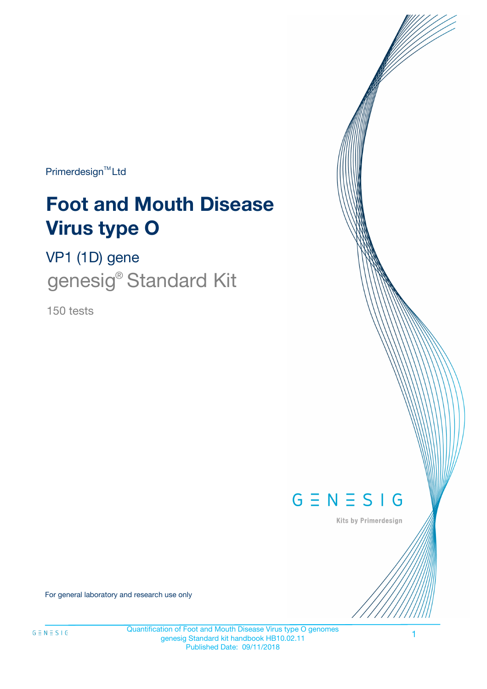Primerdesign<sup>™</sup>Ltd

# **Foot and Mouth Disease Virus type O**

VP1 (1D) gene genesig<sup>®</sup> Standard Kit

150 tests



Kits by Primerdesign

For general laboratory and research use only

Quantification of Foot and Mouth Disease Virus type O genomes genesig Standard kit handbook HB10.02.11 Published Date: 09/11/2018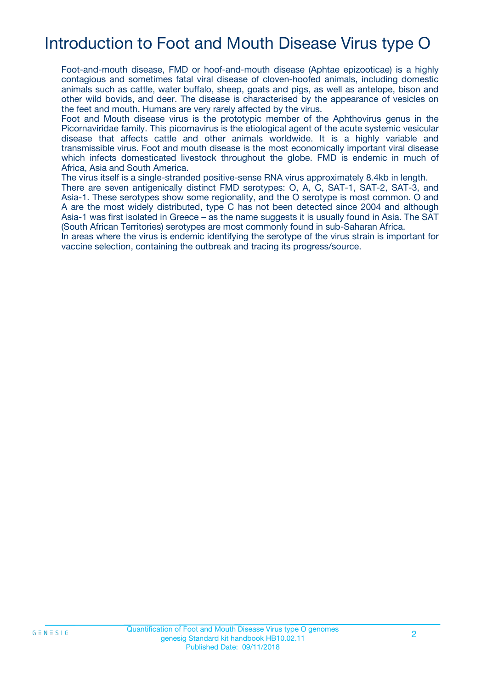# Introduction to Foot and Mouth Disease Virus type O

Foot-and-mouth disease, FMD or hoof-and-mouth disease (Aphtae epizooticae) is a highly contagious and sometimes fatal viral disease of cloven-hoofed animals, including domestic animals such as cattle, water buffalo, sheep, goats and pigs, as well as antelope, bison and other wild bovids, and deer. The disease is characterised by the appearance of vesicles on the feet and mouth. Humans are very rarely affected by the virus.

Foot and Mouth disease virus is the prototypic member of the Aphthovirus genus in the Picornaviridae family. This picornavirus is the etiological agent of the acute systemic vesicular disease that affects cattle and other animals worldwide. It is a highly variable and transmissible virus. Foot and mouth disease is the most economically important viral disease which infects domesticated livestock throughout the globe. FMD is endemic in much of Africa, Asia and South America.

The virus itself is a single-stranded positive-sense RNA virus approximately 8.4kb in length.

There are seven antigenically distinct FMD serotypes: O, A, C, SAT-1, SAT-2, SAT-3, and Asia-1. These serotypes show some regionality, and the O serotype is most common. O and A are the most widely distributed, type C has not been detected since 2004 and although Asia-1 was first isolated in Greece – as the name suggests it is usually found in Asia. The SAT (South African Territories) serotypes are most commonly found in sub-Saharan Africa.

In areas where the virus is endemic identifying the serotype of the virus strain is important for vaccine selection, containing the outbreak and tracing its progress/source.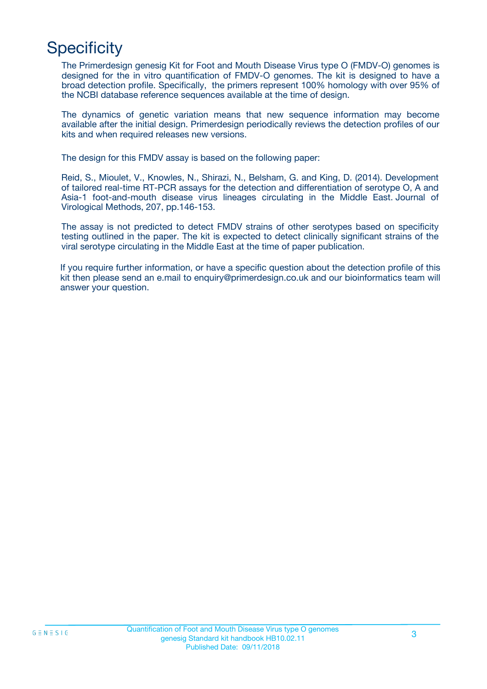# **Specificity**

The Primerdesign genesig Kit for Foot and Mouth Disease Virus type O (FMDV-O) genomes is designed for the in vitro quantification of FMDV-O genomes. The kit is designed to have a broad detection profile. Specifically, the primers represent 100% homology with over 95% of the NCBI database reference sequences available at the time of design.

The dynamics of genetic variation means that new sequence information may become available after the initial design. Primerdesign periodically reviews the detection profiles of our kits and when required releases new versions.

The design for this FMDV assay is based on the following paper:

Reid, S., Mioulet, V., Knowles, N., Shirazi, N., Belsham, G. and King, D. (2014). Development of tailored real-time RT-PCR assays for the detection and differentiation of serotype O, A and Asia-1 foot-and-mouth disease virus lineages circulating in the Middle East. Journal of Virological Methods, 207, pp.146-153.

The assay is not predicted to detect FMDV strains of other serotypes based on specificity testing outlined in the paper. The kit is expected to detect clinically significant strains of the viral serotype circulating in the Middle East at the time of paper publication.

If you require further information, or have a specific question about the detection profile of this kit then please send an e.mail to enquiry@primerdesign.co.uk and our bioinformatics team will answer your question.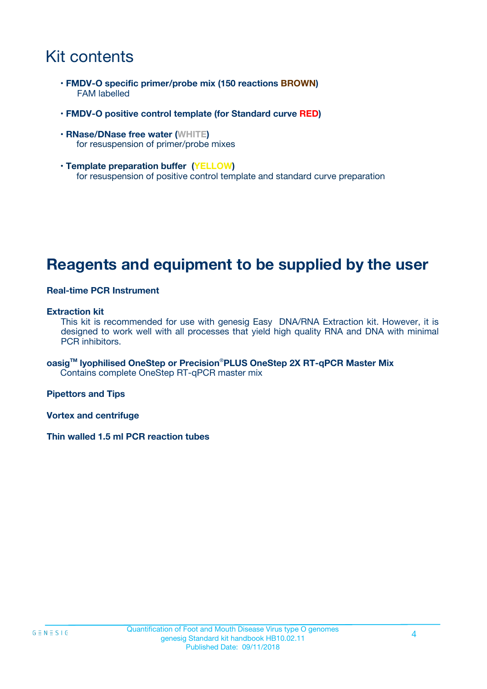### Kit contents

- **FMDV-O specific primer/probe mix (150 reactions BROWN)** FAM labelled
- **FMDV-O positive control template (for Standard curve RED)**
- **RNase/DNase free water (WHITE)** for resuspension of primer/probe mixes
- **Template preparation buffer (YELLOW)** for resuspension of positive control template and standard curve preparation

### **Reagents and equipment to be supplied by the user**

#### **Real-time PCR Instrument**

#### **Extraction kit**

This kit is recommended for use with genesig Easy DNA/RNA Extraction kit. However, it is designed to work well with all processes that yield high quality RNA and DNA with minimal PCR inhibitors.

**oasigTM lyophilised OneStep or Precision**®**PLUS OneStep 2X RT-qPCR Master Mix** Contains complete OneStep RT-qPCR master mix

**Pipettors and Tips**

**Vortex and centrifuge**

**Thin walled 1.5 ml PCR reaction tubes**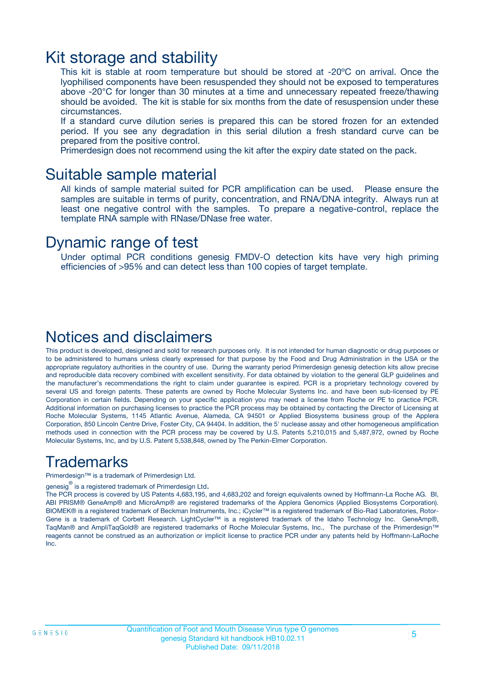### Kit storage and stability

This kit is stable at room temperature but should be stored at -20ºC on arrival. Once the lyophilised components have been resuspended they should not be exposed to temperatures above -20°C for longer than 30 minutes at a time and unnecessary repeated freeze/thawing should be avoided. The kit is stable for six months from the date of resuspension under these circumstances.

If a standard curve dilution series is prepared this can be stored frozen for an extended period. If you see any degradation in this serial dilution a fresh standard curve can be prepared from the positive control.

Primerdesign does not recommend using the kit after the expiry date stated on the pack.

### Suitable sample material

All kinds of sample material suited for PCR amplification can be used. Please ensure the samples are suitable in terms of purity, concentration, and RNA/DNA integrity. Always run at least one negative control with the samples. To prepare a negative-control, replace the template RNA sample with RNase/DNase free water.

### Dynamic range of test

Under optimal PCR conditions genesig FMDV-O detection kits have very high priming efficiencies of >95% and can detect less than 100 copies of target template.

### Notices and disclaimers

This product is developed, designed and sold for research purposes only. It is not intended for human diagnostic or drug purposes or to be administered to humans unless clearly expressed for that purpose by the Food and Drug Administration in the USA or the appropriate regulatory authorities in the country of use. During the warranty period Primerdesign genesig detection kits allow precise and reproducible data recovery combined with excellent sensitivity. For data obtained by violation to the general GLP guidelines and the manufacturer's recommendations the right to claim under guarantee is expired. PCR is a proprietary technology covered by several US and foreign patents. These patents are owned by Roche Molecular Systems Inc. and have been sub-licensed by PE Corporation in certain fields. Depending on your specific application you may need a license from Roche or PE to practice PCR. Additional information on purchasing licenses to practice the PCR process may be obtained by contacting the Director of Licensing at Roche Molecular Systems, 1145 Atlantic Avenue, Alameda, CA 94501 or Applied Biosystems business group of the Applera Corporation, 850 Lincoln Centre Drive, Foster City, CA 94404. In addition, the 5' nuclease assay and other homogeneous amplification methods used in connection with the PCR process may be covered by U.S. Patents 5,210,015 and 5,487,972, owned by Roche Molecular Systems, Inc, and by U.S. Patent 5,538,848, owned by The Perkin-Elmer Corporation.

### Trademarks

Primerdesign™ is a trademark of Primerdesign Ltd.

genesig $^\circledR$  is a registered trademark of Primerdesign Ltd.

The PCR process is covered by US Patents 4,683,195, and 4,683,202 and foreign equivalents owned by Hoffmann-La Roche AG. BI, ABI PRISM® GeneAmp® and MicroAmp® are registered trademarks of the Applera Genomics (Applied Biosystems Corporation). BIOMEK® is a registered trademark of Beckman Instruments, Inc.; iCycler™ is a registered trademark of Bio-Rad Laboratories, Rotor-Gene is a trademark of Corbett Research. LightCycler™ is a registered trademark of the Idaho Technology Inc. GeneAmp®, TaqMan® and AmpliTaqGold® are registered trademarks of Roche Molecular Systems, Inc., The purchase of the Primerdesign™ reagents cannot be construed as an authorization or implicit license to practice PCR under any patents held by Hoffmann-LaRoche Inc.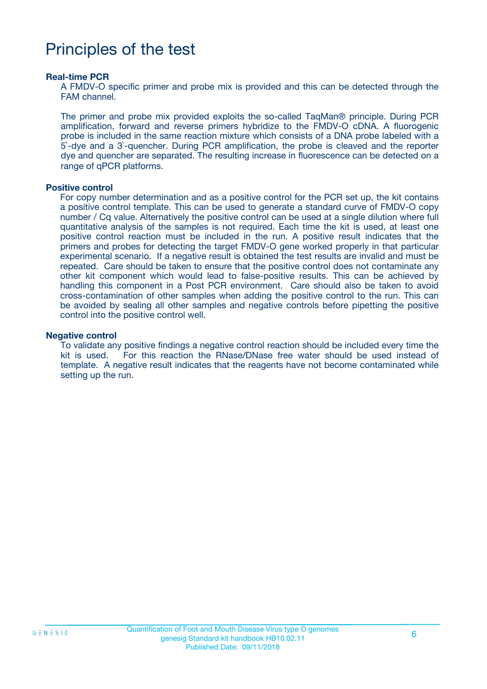### Principles of the test

#### **Real-time PCR**

A FMDV-O specific primer and probe mix is provided and this can be detected through the FAM channel.

The primer and probe mix provided exploits the so-called TaqMan® principle. During PCR amplification, forward and reverse primers hybridize to the FMDV-O cDNA. A fluorogenic probe is included in the same reaction mixture which consists of a DNA probe labeled with a 5`-dye and a 3`-quencher. During PCR amplification, the probe is cleaved and the reporter dye and quencher are separated. The resulting increase in fluorescence can be detected on a range of qPCR platforms.

#### **Positive control**

For copy number determination and as a positive control for the PCR set up, the kit contains a positive control template. This can be used to generate a standard curve of FMDV-O copy number / Cq value. Alternatively the positive control can be used at a single dilution where full quantitative analysis of the samples is not required. Each time the kit is used, at least one positive control reaction must be included in the run. A positive result indicates that the primers and probes for detecting the target FMDV-O gene worked properly in that particular experimental scenario. If a negative result is obtained the test results are invalid and must be repeated. Care should be taken to ensure that the positive control does not contaminate any other kit component which would lead to false-positive results. This can be achieved by handling this component in a Post PCR environment. Care should also be taken to avoid cross-contamination of other samples when adding the positive control to the run. This can be avoided by sealing all other samples and negative controls before pipetting the positive control into the positive control well.

#### **Negative control**

To validate any positive findings a negative control reaction should be included every time the kit is used. For this reaction the RNase/DNase free water should be used instead of template. A negative result indicates that the reagents have not become contaminated while setting up the run.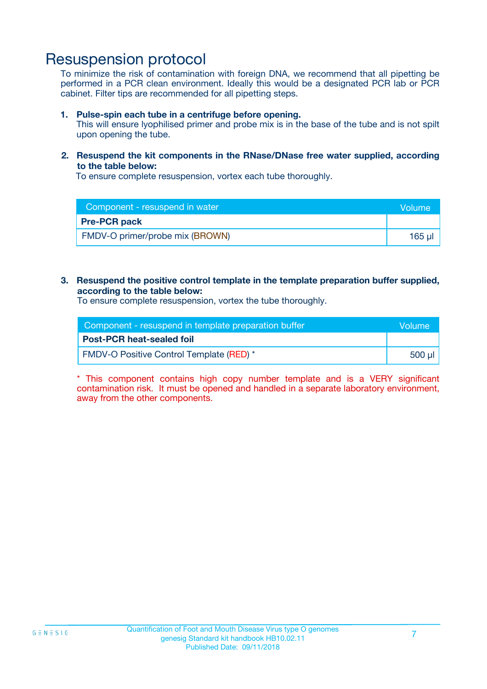### Resuspension protocol

To minimize the risk of contamination with foreign DNA, we recommend that all pipetting be performed in a PCR clean environment. Ideally this would be a designated PCR lab or PCR cabinet. Filter tips are recommended for all pipetting steps.

#### **1. Pulse-spin each tube in a centrifuge before opening.**

This will ensure lyophilised primer and probe mix is in the base of the tube and is not spilt upon opening the tube.

#### **2. Resuspend the kit components in the RNase/DNase free water supplied, according to the table below:**

To ensure complete resuspension, vortex each tube thoroughly.

| Component - resuspend in water  | <b>Nolume</b> |
|---------------------------------|---------------|
| <b>Pre-PCR pack</b>             |               |
| FMDV-O primer/probe mix (BROWN) | $165$ $\mu$   |

#### **3. Resuspend the positive control template in the template preparation buffer supplied, according to the table below:**

To ensure complete resuspension, vortex the tube thoroughly.

| Component - resuspend in template preparation buffer |         |  |
|------------------------------------------------------|---------|--|
| <b>Post-PCR heat-sealed foil</b>                     |         |  |
| <b>FMDV-O Positive Control Template (RED)</b> *      | .500 ul |  |

\* This component contains high copy number template and is a VERY significant contamination risk. It must be opened and handled in a separate laboratory environment, away from the other components.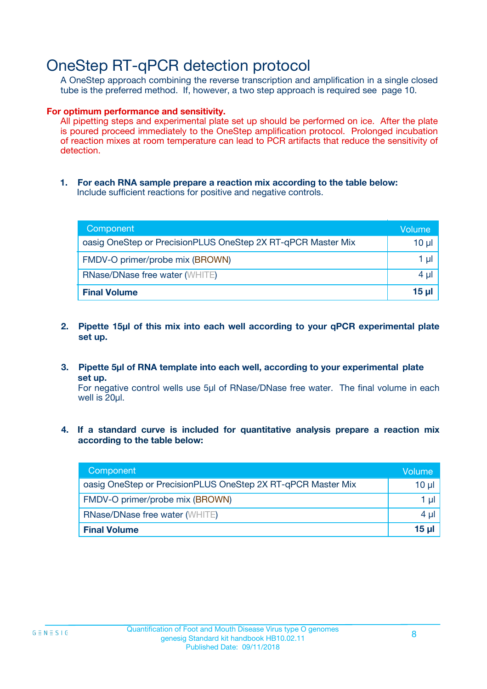### OneStep RT-qPCR detection protocol

A OneStep approach combining the reverse transcription and amplification in a single closed tube is the preferred method. If, however, a two step approach is required see page 10.

#### **For optimum performance and sensitivity.**

All pipetting steps and experimental plate set up should be performed on ice. After the plate is poured proceed immediately to the OneStep amplification protocol. Prolonged incubation of reaction mixes at room temperature can lead to PCR artifacts that reduce the sensitivity of detection.

**1. For each RNA sample prepare a reaction mix according to the table below:** Include sufficient reactions for positive and negative controls.

| Component                                                    | Volume   |
|--------------------------------------------------------------|----------|
| oasig OneStep or PrecisionPLUS OneStep 2X RT-qPCR Master Mix | $10 \mu$ |
| FMDV-O primer/probe mix (BROWN)                              | 1 µl     |
| <b>RNase/DNase free water (WHITE)</b>                        | $4 \mu$  |
| <b>Final Volume</b>                                          | $15$ µ   |

- **2. Pipette 15µl of this mix into each well according to your qPCR experimental plate set up.**
- **3. Pipette 5µl of RNA template into each well, according to your experimental plate set up.**

For negative control wells use 5µl of RNase/DNase free water. The final volume in each well is 20ul.

**4. If a standard curve is included for quantitative analysis prepare a reaction mix according to the table below:**

| Component                                                    | Volume   |
|--------------------------------------------------------------|----------|
| oasig OneStep or PrecisionPLUS OneStep 2X RT-qPCR Master Mix | 10 µl    |
| FMDV-O primer/probe mix (BROWN)                              | 1 ul     |
| <b>RNase/DNase free water (WHITE)</b>                        | $4 \mu$  |
| <b>Final Volume</b>                                          | $15 \mu$ |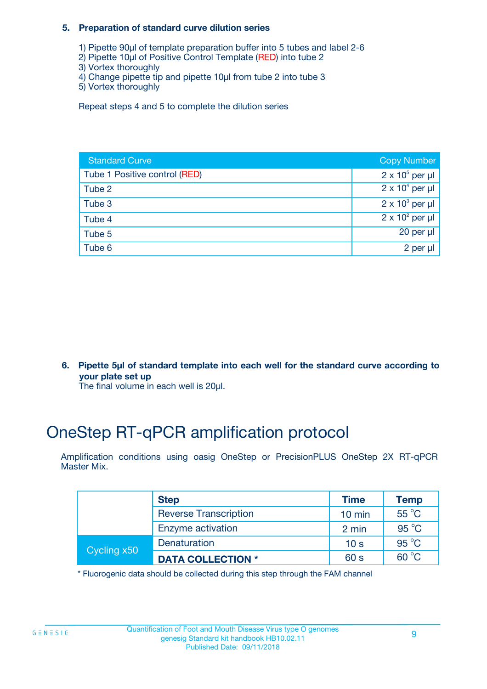#### **5. Preparation of standard curve dilution series**

- 1) Pipette 90µl of template preparation buffer into 5 tubes and label 2-6
- 2) Pipette 10µl of Positive Control Template (RED) into tube 2
- 3) Vortex thoroughly
- 4) Change pipette tip and pipette 10µl from tube 2 into tube 3
- 5) Vortex thoroughly

Repeat steps 4 and 5 to complete the dilution series

| <b>Standard Curve</b>         | <b>Copy Number</b>     |
|-------------------------------|------------------------|
| Tube 1 Positive control (RED) | $2 \times 10^5$ per µl |
| Tube 2                        | $2 \times 10^4$ per µl |
| Tube 3                        | $2 \times 10^3$ per µl |
| Tube 4                        | $2 \times 10^2$ per µl |
| Tube 5                        | 20 per $\mu$           |
| Tube 6                        | 2 per µl               |

**6. Pipette 5µl of standard template into each well for the standard curve according to your plate set up**

The final volume in each well is 20ul.

# OneStep RT-qPCR amplification protocol

Amplification conditions using oasig OneStep or PrecisionPLUS OneStep 2X RT-qPCR Master Mix.

|             | <b>Step</b>                  | <b>Time</b>      | <b>Temp</b>    |
|-------------|------------------------------|------------------|----------------|
|             | <b>Reverse Transcription</b> | $10 \text{ min}$ | 55 °C          |
|             | Enzyme activation            | 2 min            | $95^{\circ}$ C |
| Cycling x50 | Denaturation                 | 10 <sub>s</sub>  | $95^{\circ}$ C |
|             | <b>DATA COLLECTION *</b>     | 60 s             | $60^{\circ}$ C |

\* Fluorogenic data should be collected during this step through the FAM channel